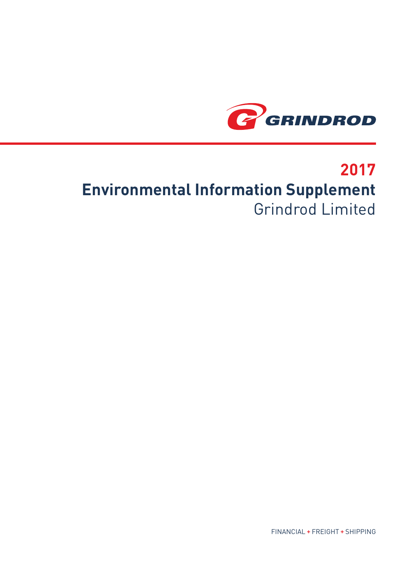

# **2017 Environmental Information Supplement** Grindrod Limited

FINANCIAL + FREIGHT + SHIPPING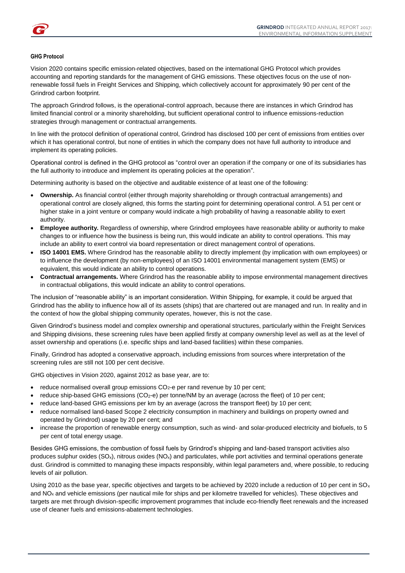#### **GHG Protocol**

Vision 2020 contains specific emission-related objectives, based on the international GHG Protocol which provides accounting and reporting standards for the management of GHG emissions. These objectives focus on the use of nonrenewable fossil fuels in Freight Services and Shipping, which collectively account for approximately 90 per cent of the Grindrod carbon footprint.

The approach Grindrod follows, is the operational-control approach, because there are instances in which Grindrod has limited financial control or a minority shareholding, but sufficient operational control to influence emissions-reduction strategies through management or contractual arrangements.

In line with the protocol definition of operational control, Grindrod has disclosed 100 per cent of emissions from entities over which it has operational control, but none of entities in which the company does not have full authority to introduce and implement its operating policies.

Operational control is defined in the GHG protocol as "control over an operation if the company or one of its subsidiaries has the full authority to introduce and implement its operating policies at the operation".

Determining authority is based on the objective and auditable existence of at least one of the following:

- **Ownership.** As financial control (either through majority shareholding or through contractual arrangements) and operational control are closely aligned, this forms the starting point for determining operational control. A 51 per cent or higher stake in a joint venture or company would indicate a high probability of having a reasonable ability to exert authority.
- **Employee authority.** Regardless of ownership, where Grindrod employees have reasonable ability or authority to make changes to or influence how the business is being run, this would indicate an ability to control operations. This may include an ability to exert control via board representation or direct management control of operations.
- **ISO 14001 EMS.** Where Grindrod has the reasonable ability to directly implement (by implication with own employees) or to influence the development (by non-employees) of an ISO 14001 environmental management system (EMS) or equivalent, this would indicate an ability to control operations.
- **Contractual arrangements.** Where Grindrod has the reasonable ability to impose environmental management directives in contractual obligations, this would indicate an ability to control operations.

The inclusion of "reasonable ability" is an important consideration. Within Shipping, for example, it could be argued that Grindrod has the ability to influence how all of its assets (ships) that are chartered out are managed and run. In reality and in the context of how the global shipping community operates, however, this is not the case.

Given Grindrod's business model and complex ownership and operational structures, particularly within the Freight Services and Shipping divisions, these screening rules have been applied firstly at company ownership level as well as at the level of asset ownership and operations (i.e. specific ships and land-based facilities) within these companies.

Finally, Grindrod has adopted a conservative approach, including emissions from sources where interpretation of the screening rules are still not 100 per cent decisive.

GHG objectives in Vision 2020, against 2012 as base year, are to:

- reduce normalised overall group emissions CO<sub>2</sub>-e per rand revenue by 10 per cent;
- reduce ship-based GHG emissions ( $CO<sub>2</sub>$ -e) per tonne/NM by an average (across the fleet) of 10 per cent;
- reduce land-based GHG emissions per km by an average (across the transport fleet) by 10 per cent;
- reduce normalised land-based Scope 2 electricity consumption in machinery and buildings on property owned and operated by Grindrod) usage by 20 per cent; and
- increase the proportion of renewable energy consumption, such as wind- and solar-produced electricity and biofuels, to 5 per cent of total energy usage.

Besides GHG emissions, the combustion of fossil fuels by Grindrod's shipping and land-based transport activities also produces sulphur oxides (SO<sub>x</sub>), nitrous oxides (NO<sub>x</sub>) and particulates, while port activities and terminal operations generate dust. Grindrod is committed to managing these impacts responsibly, within legal parameters and, where possible, to reducing levels of air pollution.

Using 2010 as the base year, specific objectives and targets to be achieved by 2020 include a reduction of 10 per cent in  $SO_{\chi}$ and NO<sup>x</sup> and vehicle emissions (per nautical mile for ships and per kilometre travelled for vehicles). These objectives and targets are met through division-specific improvement programmes that include eco-friendly fleet renewals and the increased use of cleaner fuels and emissions-abatement technologies.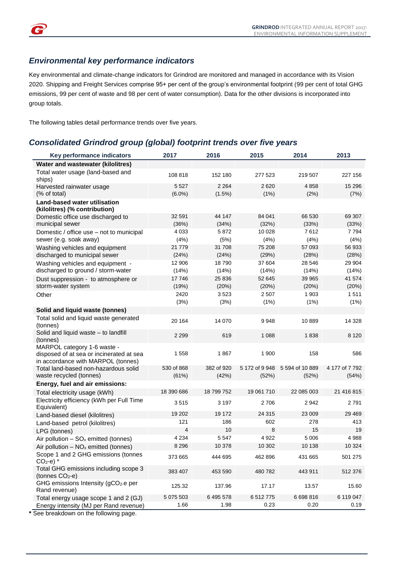#### *Environmental key performance indicators*

 $\epsilon$ 

Key environmental and climate-change indicators for Grindrod are monitored and managed in accordance with its Vision 2020. Shipping and Freight Services comprise 95+ per cent of the group's environmental footprint (99 per cent of total GHG emissions, 99 per cent of waste and 98 per cent of water consumption). Data for the other divisions is incorporated into group totals.

The following tables detail performance trends over five years.

## *Consolidated Grindrod group (global) footprint trends over five years*

| Key performance indicators                                              | 2017                 | 2016                | 2015                    | 2014                     | 2013                    |
|-------------------------------------------------------------------------|----------------------|---------------------|-------------------------|--------------------------|-------------------------|
| Water and wastewater (kilolitres)                                       |                      |                     |                         |                          |                         |
| Total water usage (land-based and<br>ships)                             | 108 818              | 152 180             | 277 523                 | 219 507                  | 227 156                 |
| Harvested rainwater usage<br>(% of total)                               | 5 5 2 7<br>$(6.0\%)$ | 2 2 6 4<br>(1.5%)   | 2620<br>(1%)            | 4858<br>(2%)             | 15 29 6<br>(7%)         |
| <b>Land-based water utilisation</b>                                     |                      |                     |                         |                          |                         |
| (kilolitres) (% contribution)                                           |                      |                     |                         |                          |                         |
| Domestic office use discharged to<br>municipal sewer                    | 32 591<br>(36%)      | 44 147<br>(34%)     | 84 041<br>(32%)         | 66 530<br>(33%)          | 69 307<br>(33%)         |
| Domestic / office use - not to municipal                                | 4 0 3 3              | 5872                | 10 0 28                 | 7612                     | 7 7 9 4                 |
| sewer (e.g. soak away)                                                  | (4%)                 | (5%)                | (4%)                    | (4%)                     | (4%)                    |
| Washing vehicles and equipment                                          | 21 779               | 31 708              | 75 208                  | 57 093                   | 56 933                  |
| discharged to municipal sewer                                           | (24%)                | (24%)               | (29%)                   | (28%)                    | (28%)                   |
| Washing vehicles and equipment -                                        | 12 906               | 18790               | 37 604                  | 28 546                   | 29 904                  |
| discharged to ground / storm-water                                      | (14%)                | (14%)               | (14%)                   | (14%)                    | (14%)                   |
| Dust suppression - to atmosphere or                                     | 17746                | 25 836              | 52 645                  | 39 965                   | 41 574                  |
| storm-water system                                                      | (19%)                | (20%)               | (20%)                   | (20%)                    | (20%)                   |
| Other                                                                   | 2420                 | 3523                | 2 5 0 7                 | 1 903                    | 1511                    |
|                                                                         | (3%)                 | (3%)                | (1%)                    | (1%)                     | (1%)                    |
| Solid and liquid waste (tonnes)                                         |                      |                     |                         |                          |                         |
| Total solid and liquid waste generated<br>(tonnes)                      | 20 164               | 14 070              | 9948                    | 10889                    | 14 3 28                 |
| Solid and liquid waste - to landfill<br>(tonnes)                        | 2 2 9 9              | 619                 | 1 0 8 8                 | 1838                     | 8 1 2 0                 |
| MARPOL category 1-6 waste -<br>disposed of at sea or incinerated at sea | 1 558                | 1867                | 1 900                   | 158                      | 586                     |
| in accordance with MARPOL (tonnes)                                      |                      |                     |                         |                          |                         |
| Total land-based non-hazardous solid<br>waste recycled (tonnes)         | 530 of 868<br>(61%)  | 382 of 920<br>(42%) | 5 172 of 9 948<br>(52%) | 5 594 of 10 889<br>(52%) | 4 177 of 7 792<br>(54%) |
| Energy, fuel and air emissions:                                         |                      |                     |                         |                          |                         |
| Total electricity usage (kWh)                                           | 18 390 686           | 18 799 752          | 19 061 710              | 22 085 003               | 21 416 815              |
| Electricity efficiency (kWh per Full Time<br>Equivalent)                | 3515                 | 3 1 9 7             | 2706                    | 2942                     | 2791                    |
| Land-based diesel (kilolitres)                                          | 19 20 2              | 19 172              | 24 315                  | 23 009                   | 29 4 69                 |
| Land-based petrol (kilolitres)                                          | 121                  | 186                 | 602                     | 278                      | 413                     |
| LPG (tonnes)                                                            | 4                    | 10                  | 8                       | 15                       | 19                      |
| Air pollution $-$ SO <sub>x</sub> emitted (tonnes)                      | 4 2 3 4              | 5 5 4 7             | 4 9 22                  | 5 0 0 6                  | 4 9 8 8                 |
| Air pollution $- NO_x$ emitted (tonnes)                                 | 8 2 9 6              | 10 378              | 10 302                  | 10 138                   | 10 324                  |
| Scope 1 and 2 GHG emissions (tonnes<br>$CO2-e)$ *                       | 373 665              | 444 695             | 462 896                 | 431 665                  | 501 275                 |
| Total GHG emissions including scope 3<br>(tonnes CO <sub>2</sub> -e)    | 383 407              | 453 590             | 480 782                 | 443 911                  | 512 376                 |
| GHG emissions Intensity (gCO <sub>2-</sub> e per<br>Rand revenue)       | 125.32               | 137.96              | 17.17                   | 13.57                    | 15.60                   |
| Total energy usage scope 1 and 2 (GJ)                                   | 5 075 503            | 6 495 578           | 6 512 775               | 6 698 816                | 6 119 047               |
| Energy intensity (MJ per Rand revenue)                                  | 1.66                 | 1.98                | 0.23                    | 0.20                     | 0.19                    |

**\*** See breakdown on the following page.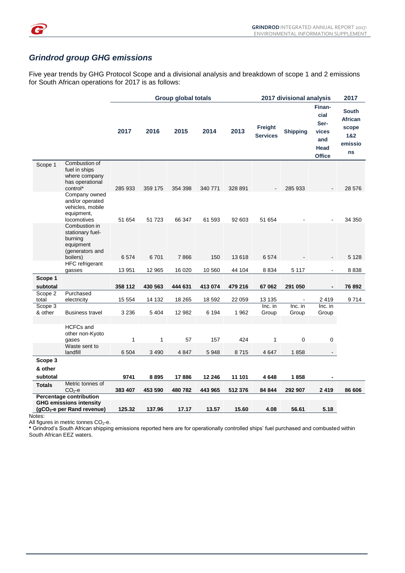

## *Grindrod group GHG emissions*

Five year trends by GHG Protocol Scope and a divisional analysis and breakdown of scope 1 and 2 emissions for South African operations for 2017 is as follows:

|                           |                                                                                                            | <b>Group global totals</b> |         |         |         | 2017 divisional analysis |                            |                  | 2017                                                            |                                                                 |
|---------------------------|------------------------------------------------------------------------------------------------------------|----------------------------|---------|---------|---------|--------------------------|----------------------------|------------------|-----------------------------------------------------------------|-----------------------------------------------------------------|
|                           |                                                                                                            | 2017                       | 2016    | 2015    | 2014    | 2013                     | Freight<br><b>Services</b> | <b>Shipping</b>  | Finan-<br>cial<br>Ser-<br>vices<br>and<br>Head<br><b>Office</b> | <b>South</b><br><b>African</b><br>scope<br>1&2<br>emissio<br>ns |
| Scope 1                   | Combustion of<br>fuel in ships<br>where company<br>has operational                                         |                            |         |         |         |                          |                            |                  |                                                                 |                                                                 |
|                           | control*<br>Company owned<br>and/or operated<br>vehicles, mobile<br>equipment,                             | 285 933                    | 359 175 | 354 398 | 340 771 | 328 891                  |                            | 285 933          |                                                                 | 28 576                                                          |
|                           | locomotives<br>Combustion in<br>stationary fuel-<br>burning<br>equipment<br>(generators and                | 51 654                     | 51 723  | 66 347  | 61 593  | 92 603                   | 51 654                     |                  |                                                                 | 34 350                                                          |
|                           | boilers)<br>HFC refrigerant                                                                                | 6574                       | 6701    | 7866    | 150     | 13618                    | 6574                       |                  |                                                                 | 5 1 2 8                                                         |
|                           | gasses                                                                                                     | 13 951                     | 12 965  | 16 0 20 | 10 560  | 44 104                   | 8834                       | 5 1 1 7          |                                                                 | 8838                                                            |
| Scope 1<br>subtotal       |                                                                                                            | 358 112                    | 430 563 | 444 631 | 413 074 | 479 216                  | 67 062                     | 291 050          |                                                                 | 76 892                                                          |
| Scope 2<br>total          | Purchased<br>electricity                                                                                   | 15 554                     | 14 132  | 18 265  | 18 592  | 22 059                   | 13 135                     |                  | 2 4 1 9                                                         | 9714                                                            |
| Scope 3<br>& other        | <b>Business travel</b>                                                                                     | 3 2 3 6                    | 5 4 0 4 | 12 982  | 6 1 9 4 | 1 9 6 2                  | Inc. in<br>Group           | Inc. in<br>Group | Inc. in<br>Group                                                |                                                                 |
|                           | <b>HCFCs and</b><br>other non-Kyoto<br>gases<br>Waste sent to                                              | 1                          | 1       | 57      | 157     | 424                      | 1                          | 0                | 0                                                               |                                                                 |
|                           | landfill                                                                                                   | 6 5 0 4                    | 3 4 9 0 | 4 8 4 7 | 5948    | 8715                     | 4 6 4 7                    | 1858             |                                                                 |                                                                 |
| Scope 3                   |                                                                                                            |                            |         |         |         |                          |                            |                  |                                                                 |                                                                 |
| & other                   |                                                                                                            |                            |         |         |         |                          |                            |                  |                                                                 |                                                                 |
| subtotal<br><b>Totals</b> | Metric tonnes of                                                                                           | 9741                       | 8895    | 17886   | 12 246  | 11 101                   | 4648                       | 1858             |                                                                 |                                                                 |
|                           | $CO2 - e$                                                                                                  | 383 407                    | 453 590 | 480782  | 443 965 | 512 376                  | 84 844                     | 292 907          | 2419                                                            | 86 606                                                          |
|                           | <b>Percentage contribution</b><br><b>GHG emissions intensity</b><br>(gCO <sub>2</sub> -e per Rand revenue) | 125.32                     | 137.96  | 17.17   | 13.57   | 15.60                    | 4.08                       | 56.61            | 5.18                                                            |                                                                 |

Notes:

All figures in metric tonnes  $CO<sub>2</sub>$ -e.

**\*** Grindrod's South African shipping emissions reported here are for operationally controlled ships' fuel purchased and combusted within South African EEZ waters.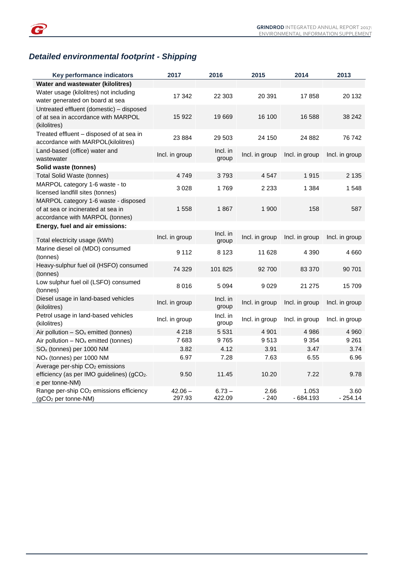

## *Detailed environmental footprint - Shipping*

| Key performance indicators                                                                                    | 2017                | 2016               | 2015           | 2014                | 2013              |
|---------------------------------------------------------------------------------------------------------------|---------------------|--------------------|----------------|---------------------|-------------------|
| Water and wastewater (kilolitres)                                                                             |                     |                    |                |                     |                   |
| Water usage (kilolitres) not including<br>water generated on board at sea                                     | 17 342              | 22 303             | 20 391         | 17858               | 20 132            |
| Untreated effluent (domestic) - disposed<br>of at sea in accordance with MARPOL<br>(kilolitres)               | 15 922              | 19669              | 16 100         | 16 588              | 38 24 2           |
| Treated effluent - disposed of at sea in<br>accordance with MARPOL(kilolitres)                                | 23 8 84             | 29 503             | 24 150         | 24 8 82             | 76 742            |
| Land-based (office) water and<br>wastewater                                                                   | Incl. in group      | Incl. in<br>group  | Incl. in group | Incl. in group      | Incl. in group    |
| Solid waste (tonnes)                                                                                          |                     |                    |                |                     |                   |
| <b>Total Solid Waste (tonnes)</b>                                                                             | 4749                | 3793               | 4 5 4 7        | 1915                | 2 1 3 5           |
| MARPOL category 1-6 waste - to<br>licensed landfill sites (tonnes)                                            | 3028                | 1769               | 2 2 3 3        | 1 3 8 4             | 1 548             |
| MARPOL category 1-6 waste - disposed<br>of at sea or incinerated at sea in<br>accordance with MARPOL (tonnes) | 1558                | 1867               | 1 900          | 158                 | 587               |
| Energy, fuel and air emissions:                                                                               |                     |                    |                |                     |                   |
| Total electricity usage (kWh)                                                                                 | Incl. in group      | Incl. in<br>group  | Incl. in group | Incl. in group      | Incl. in group    |
| Marine diesel oil (MDO) consumed<br>(tonnes)                                                                  | 9 1 1 2             | 8 1 2 3            | 11 628         | 4 3 9 0             | 4660              |
| Heavy-sulphur fuel oil (HSFO) consumed<br>(tonnes)                                                            | 74 329              | 101 825            | 92 700         | 83 370              | 90 701            |
| Low sulphur fuel oil (LSFO) consumed<br>(tonnes)                                                              | 8016                | 5 0 9 4            | 9029           | 21 275              | 15709             |
| Diesel usage in land-based vehicles<br>(kilolitres)                                                           | Incl. in group      | Incl. in<br>group  | Incl. in group | Incl. in group      | Incl. in group    |
| Petrol usage in land-based vehicles<br>(kilolitres)                                                           | Incl. in group      | Incl. in<br>group  | Incl. in group | Incl. in group      | Incl. in group    |
| Air pollution $-$ SO <sub>x</sub> emitted (tonnes)                                                            | 4 2 1 8             | 5531               | 4 9 0 1        | 4 9 8 6             | 4 9 6 0           |
| Air pollution $- NO_x$ emitted (tonnes)                                                                       | 7683                | 9765               | 9513           | 9 3 5 4             | 9 2 6 1           |
| SO <sub>x</sub> (tonnes) per 1000 NM                                                                          | 3.82                | 4.12               | 3.91           | 3.47                | 3.74              |
| NO <sub>x</sub> (tonnes) per 1000 NM                                                                          | 6.97                | 7.28               | 7.63           | 6.55                | 6.96              |
| Average per-ship CO <sub>2</sub> emissions<br>efficiency (as per IMO guidelines) (gCO2-<br>e per tonne-NM)    | 9.50                | 11.45              | 10.20          | 7.22                | 9.78              |
| Range per-ship CO <sub>2</sub> emissions efficiency<br>(gCO <sub>2</sub> per tonne-NM)                        | $42.06 -$<br>297.93 | $6.73 -$<br>422.09 | 2.66<br>$-240$ | 1.053<br>$-684.193$ | 3.60<br>$-254.14$ |